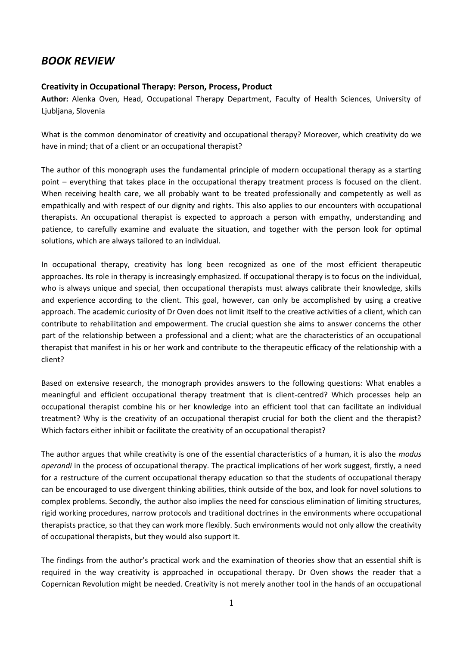## *BOOK REVIEW*

## **Creativity in Occupational Therapy: Person, Process, Product**

**Author:** Alenka Oven, Head, Occupational Therapy Department, Faculty of Health Sciences, University of Ljubljana, Slovenia

What is the common denominator of creativity and occupational therapy? Moreover, which creativity do we have in mind; that of a client or an occupational therapist?

The author of this monograph uses the fundamental principle of modern occupational therapy as a starting point – everything that takes place in the occupational therapy treatment process is focused on the client. When receiving health care, we all probably want to be treated professionally and competently as well as empathically and with respect of our dignity and rights. This also applies to our encounters with occupational therapists. An occupational therapist is expected to approach a person with empathy, understanding and patience, to carefully examine and evaluate the situation, and together with the person look for optimal solutions, which are always tailored to an individual.

In occupational therapy, creativity has long been recognized as one of the most efficient therapeutic approaches. Its role in therapy is increasingly emphasized. If occupational therapy is to focus on the individual, who is always unique and special, then occupational therapists must always calibrate their knowledge, skills and experience according to the client. This goal, however, can only be accomplished by using a creative approach. The academic curiosity of Dr Oven does not limit itself to the creative activities of a client, which can contribute to rehabilitation and empowerment. The crucial question she aims to answer concerns the other part of the relationship between a professional and a client; what are the characteristics of an occupational therapist that manifest in his or her work and contribute to the therapeutic efficacy of the relationship with a client?

Based on extensive research, the monograph provides answers to the following questions: What enables a meaningful and efficient occupational therapy treatment that is client-centred? Which processes help an occupational therapist combine his or her knowledge into an efficient tool that can facilitate an individual treatment? Why is the creativity of an occupational therapist crucial for both the client and the therapist? Which factors either inhibit or facilitate the creativity of an occupational therapist?

The author argues that while creativity is one of the essential characteristics of a human, it is also the *modus operandi* in the process of occupational therapy. The practical implications of her work suggest, firstly, a need for a restructure of the current occupational therapy education so that the students of occupational therapy can be encouraged to use divergent thinking abilities, think outside of the box, and look for novel solutions to complex problems. Secondly, the author also implies the need for conscious elimination of limiting structures, rigid working procedures, narrow protocols and traditional doctrines in the environments where occupational therapists practice, so that they can work more flexibly. Such environments would not only allow the creativity of occupational therapists, but they would also support it.

The findings from the author's practical work and the examination of theories show that an essential shift is required in the way creativity is approached in occupational therapy. Dr Oven shows the reader that a Copernican Revolution might be needed. Creativity is not merely another tool in the hands of an occupational